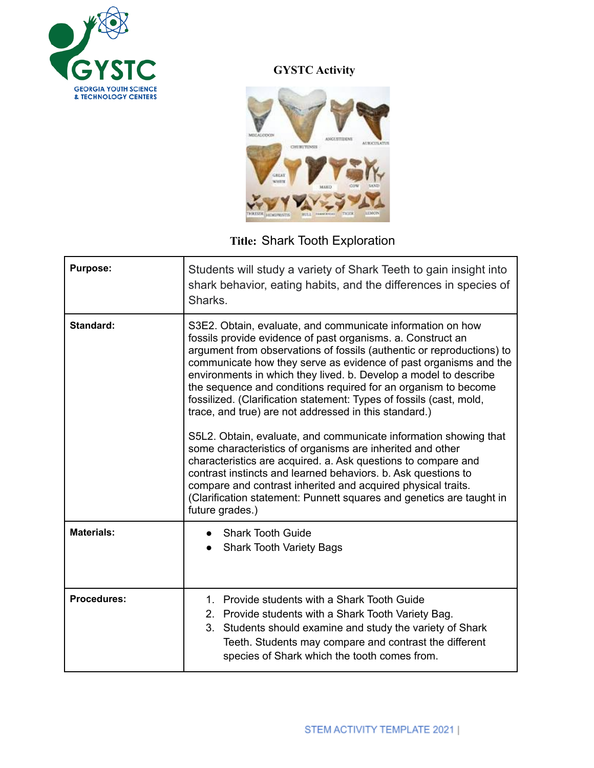

## **GYSTC Activity**



## **Title:** Shark Tooth Exploration

| <b>Purpose:</b>    | Students will study a variety of Shark Teeth to gain insight into<br>shark behavior, eating habits, and the differences in species of<br>Sharks.                                                                                                                                                                                                                                                                                                                                                                                                                                                                                                                                                                                                                                                                                                                                                                                                                           |
|--------------------|----------------------------------------------------------------------------------------------------------------------------------------------------------------------------------------------------------------------------------------------------------------------------------------------------------------------------------------------------------------------------------------------------------------------------------------------------------------------------------------------------------------------------------------------------------------------------------------------------------------------------------------------------------------------------------------------------------------------------------------------------------------------------------------------------------------------------------------------------------------------------------------------------------------------------------------------------------------------------|
| Standard:          | S3E2. Obtain, evaluate, and communicate information on how<br>fossils provide evidence of past organisms. a. Construct an<br>argument from observations of fossils (authentic or reproductions) to<br>communicate how they serve as evidence of past organisms and the<br>environments in which they lived. b. Develop a model to describe<br>the sequence and conditions required for an organism to become<br>fossilized. (Clarification statement: Types of fossils (cast, mold,<br>trace, and true) are not addressed in this standard.)<br>S5L2. Obtain, evaluate, and communicate information showing that<br>some characteristics of organisms are inherited and other<br>characteristics are acquired. a. Ask questions to compare and<br>contrast instincts and learned behaviors. b. Ask questions to<br>compare and contrast inherited and acquired physical traits.<br>(Clarification statement: Punnett squares and genetics are taught in<br>future grades.) |
| <b>Materials:</b>  | <b>Shark Tooth Guide</b><br><b>Shark Tooth Variety Bags</b>                                                                                                                                                                                                                                                                                                                                                                                                                                                                                                                                                                                                                                                                                                                                                                                                                                                                                                                |
| <b>Procedures:</b> | 1. Provide students with a Shark Tooth Guide<br>2. Provide students with a Shark Tooth Variety Bag.<br>3. Students should examine and study the variety of Shark<br>Teeth. Students may compare and contrast the different<br>species of Shark which the tooth comes from.                                                                                                                                                                                                                                                                                                                                                                                                                                                                                                                                                                                                                                                                                                 |